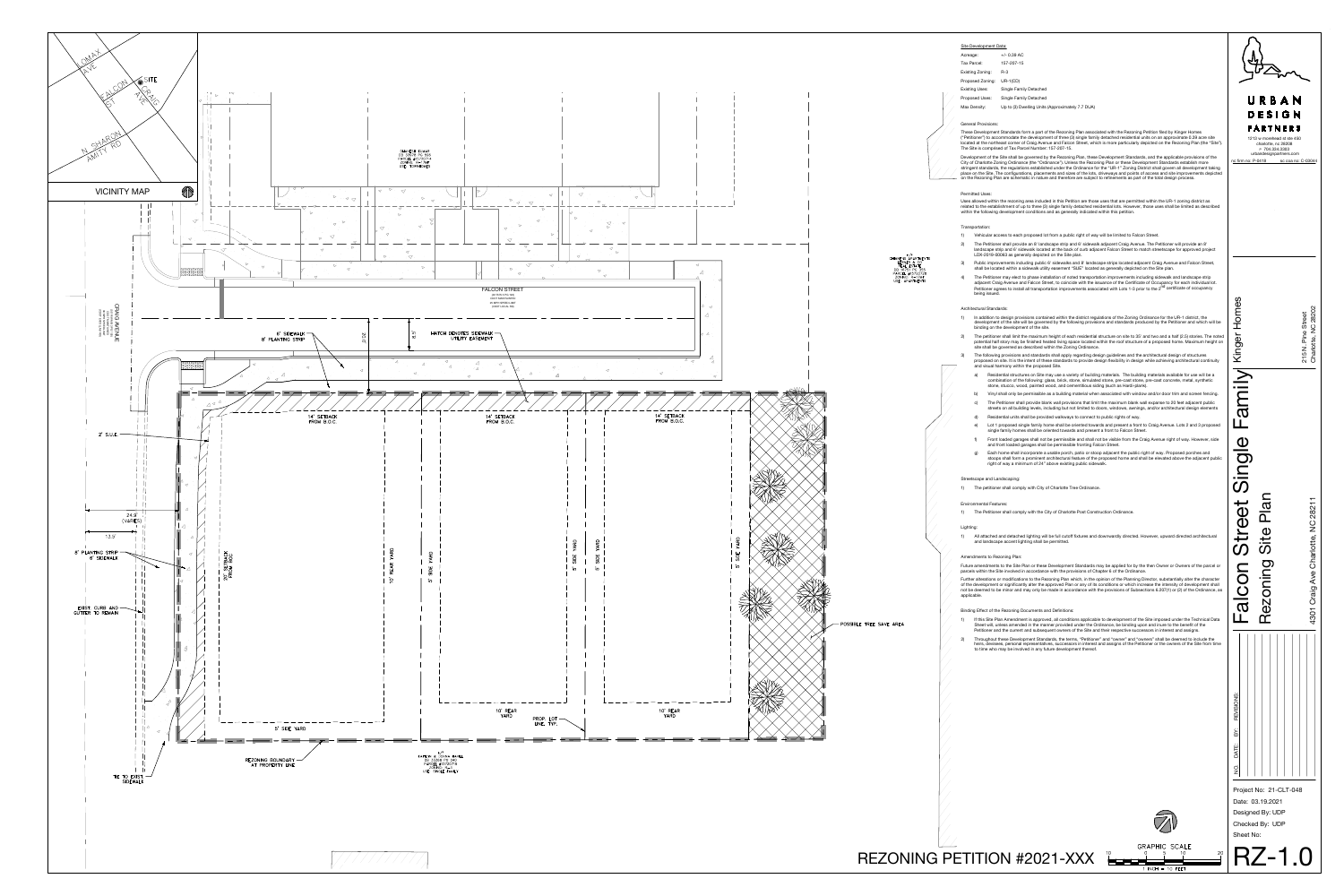Sheet No:

| URBAN<br>DESIGN<br>PARTNERS<br>1213 w morehead st ste 450<br>charlotte, nc 28208<br>P 704.334.3303<br>urbandesignpartners.com<br>nc firm no: P-0418 sc coa no: C-03044 |                                            |                                           |  |
|------------------------------------------------------------------------------------------------------------------------------------------------------------------------|--------------------------------------------|-------------------------------------------|--|
|                                                                                                                                                                        |                                            | Charlotte, NC 28202<br>215 N. Pine Street |  |
| Falcon Street Single Family Kinger Homes                                                                                                                               | <b>Plan</b><br>Rezoning Site               | 4301 Craig Ave Charlotte, NC 28211        |  |
| DATE: BY: REVISIONS:<br>ş                                                                                                                                              | Project No: 21-CLT-048<br>Date: 03.19.2021 |                                           |  |

Checked By: UDP

## Site Development Data:

| Acreage:         | $+/- 0.39$ AC                                    |  |
|------------------|--------------------------------------------------|--|
| Tax Parcel:      | 157-207-15                                       |  |
| Existing Zoning: | $R-3$                                            |  |
| Proposed Zoning: | $UR-1(CD)$                                       |  |
| Existing Uses:   | Single Family Detached                           |  |
| Proposed Uses:   | Single Family Detached                           |  |
| Max Density:     | Up to (3) Dwelling Units (Approximately 7.7 DUA) |  |

#### General Provisions:

These Development Standards form a part of the Rezoning Plan associated with the Rezoning Petition filed by Kinger Homes ("Petitioner") to accommodate the development of three (3) single family detached residential units on an approximate 0.39 acre site located at the northeast corner of Craig Avenue and Falcon Street, which is more particularly depicted on the Rezoning Plan (the "Site"). The Site is comprised of Tax Parcel Number: 157-207-15.

Development of the Site shall be governed by the Rezoning Plan, these Development Standards, and the applicable provisions of the City of Charlotte Zoning Ordinance (the "Ordinance"). Unless the Rezoning Plan or these Development Standards establish more stringent standards, the regulations established under the Ordinance for the "UR-1" Zoning District shall govern all development taking place on the Site. The configurations, placements and sizes of the lots, driveways and points of access and site improvements depicted on the Rezoning Plan are schematic in nature and therefore are subject to refinements as part of the total design process.

#### Permitted Uses:

Uses allowed within the rezoning area included in this Petition are those uses that are permitted within the UR-1 zoning district as related to the establishment of up to three (3) single family detached residential lots. However, those uses shall be limited as described within the following development conditions and as generally indicated within this petition.

## Transportation:

- 1) Vehicular access to each proposed lot from a public right of way will be limited to Falcon Street.
- 2) The Petitioner shall provide an 8' landscape strip and 6' sidewalk adjacent Craig Avenue. The Petitioner will provide an 8' landscape strip and 6' sidewalk located at the back of curb adjacent Falcon Street to match streetscape for approved project LDX-2019-00063 as generally depicted on the Site plan.
- 3) Public improvements including public 6' sidewalks and 8' landscape strips located adjacent Craig Avenue and Falcon Street, shall be located within a sidewalk utility easement "SUE" located as generally depicted on the Site plan.
- 4) The Petitioner may elect to phase installation of noted transportation improvements including sidewalk and landscape strip adjacent Craig Avenue and Falcon Street, to coincide with the issuance of the Certificate of Occupancy for each individual lot. Petitioner agrees to install all transportation improvements associated with Lots 1-3 prior to the 2<sup>nd</sup> certificate of occupancy being issued.

#### Architectural Standards:

- If this Site Plan Amendment is approved, all conditions applicable to development of the Site imposed under the Technical Data Sheet will, unless amended in the manner provided under the Ordinance, be binding upon and inure to the benefit of the Petitioner and the current and subsequent owners of the Site and their respective successors in interest and assigns.
- 2) Throughout these Development Standards, the terms, "Petitioner" and "owner" and "owners" shall be deemed to include the heirs, devisees, personal representatives, successors in interest and assigns of the Petitioner or the owners of the Site from time to time who may be involved in any future development thereof.





- 1) In addition to design provisions contained within the district regulations of the Zoning Ordinance for the UR-1 district, the development of the site will be governed by the following provisions and standards produced by the Petitioner and which will be binding on the development of the site.
- 2) The petitioner shall limit the maximum height of each residential structure on site to 35' and two and a half (2.5) stories. The noted potential half story may be finished heated living space located within the roof structure of a proposed home. Maximum height on site shall be governed as described within the Zoning Ordinance.
- 3) The following provisions and standards shall apply regarding design guidelines and the architectural design of structures proposed on site. It is the intent of these standards to provide design flexibility in design while achieving architectural continuity and visual harmony within the proposed Site.
- a) Residential structures on Site may use a variety of building materials. The building materials available for use will be a combination of the following: glass, brick, stone, simulated stone, pre-cast stone, pre-cast concrete, metal, synthetic stone, stucco, wood, painted wood, and cementitious siding (such as Hardi-plank).
- b) Vinyl shall only be permissible as a building material when associated with window and/or door trim and screen fencing. c) The Petitioner shall provide blank wall provisions that limit the maximum blank wall expanse to 20 feet adjacent public
- streets on all building levels, including but not limited to doors, windows, awnings, and/or architectural design elements Residential units shall be provided walkways to connect to public rights of way.
- e) Lot 1 proposed single family home shall be oriented towards and present a front to Craig Avenue. Lots 2 and 3 proposed single family homes shall be oriented towards and present a front to Falcon Street.
- Front loaded garages shall not be permissible and shall not be visible from the Craig Avenue right of way. However, side and front loaded garages shall be permissible fronting Falcon Street.
- Each home shall incorporate a usable porch, patio or stoop adjacent the public right of way. Proposed porches and stoops shall form a prominent architectural feature of the proposed home and shall be elevated above the adjacent public right of way a minimum of 24" above existing public sidewalk.

#### Streetscape and Landscaping:

1) The petitioner shall comply with City of Charlotte Tree Ordinance.

## Environmental Features:

1) The Petitioner shall comply with the City of Charlotte Post Construction Ordinance.

#### Lighting:

1) All attached and detached lighting will be full cutoff fixtures and downwardly directed. However, upward directed architectural and landscape accent lighting shall be permitted.

## Amendments to Rezoning Plan:

Future amendments to the Site Plan or these Development Standards may be applied for by the then Owner or Owners of the parcel or parcels within the Site involved in accordance with the provisions of Chapter 6 of the Ordinance.

Further alterations or modifications to the Rezoning Plan which, in the opinion of the Planning Director, substantially alter the character of the development or significantly alter the approved Plan or any of its conditions or which increase the intensity of development shall not be deemed to be minor and may only be made in accordance with the provisions of Subsections 6.207(1) or (2) of the Ordinance, as applicable.

## Binding Effect of the Rezoning Documents and Definitions: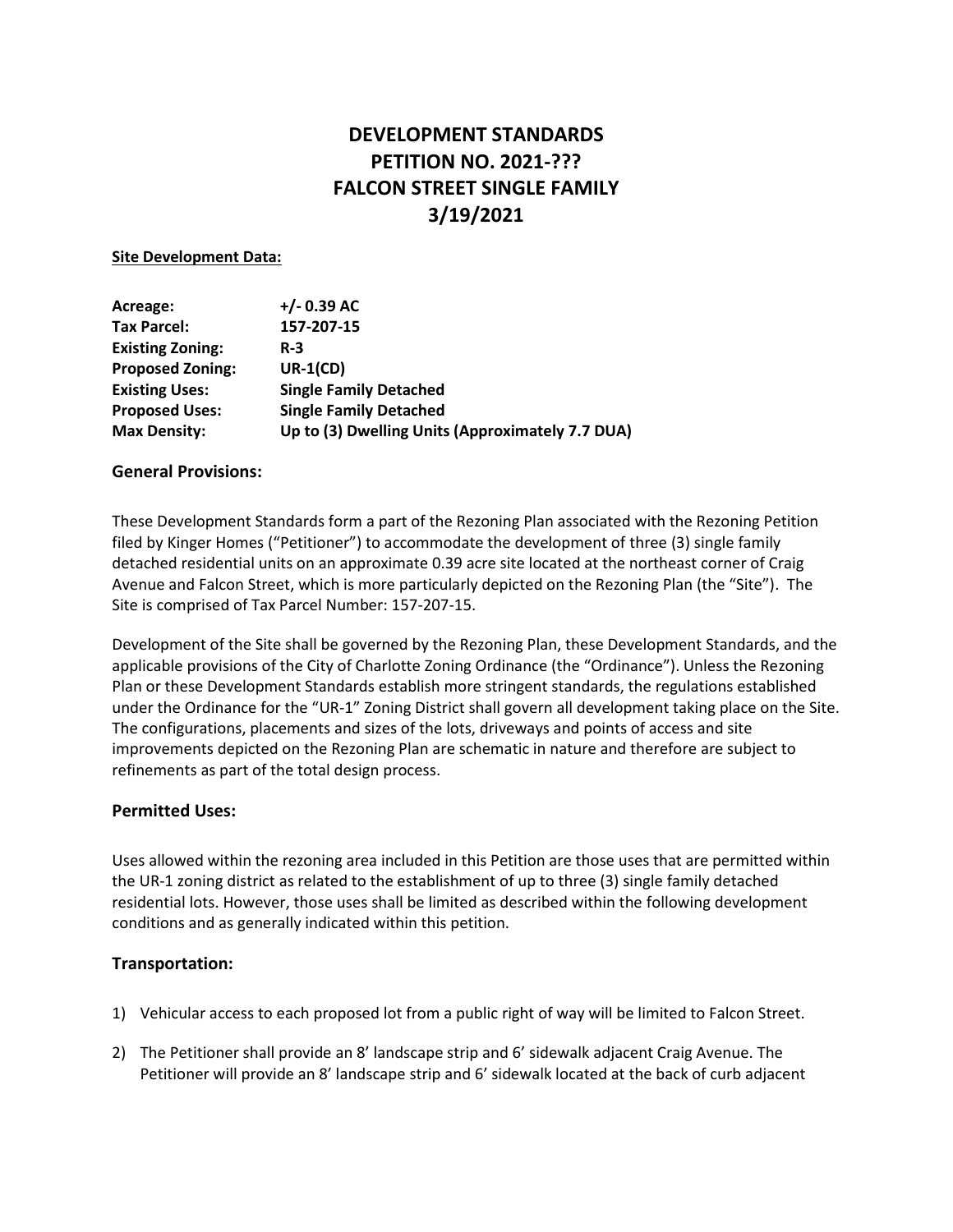# **DEVELOPMENT STANDARDS PETITION NO. 2021-??? FALCON STREET SINGLE FAMILY 3/19/2021**

#### **Site Development Data:**

| Acreage:                | $+/- 0.39$ AC                                    |  |
|-------------------------|--------------------------------------------------|--|
| <b>Tax Parcel:</b>      | 157-207-15                                       |  |
| <b>Existing Zoning:</b> | $R-3$                                            |  |
| <b>Proposed Zoning:</b> | $UR-1(CD)$                                       |  |
| <b>Existing Uses:</b>   | <b>Single Family Detached</b>                    |  |
| <b>Proposed Uses:</b>   | <b>Single Family Detached</b>                    |  |
| <b>Max Density:</b>     | Up to (3) Dwelling Units (Approximately 7.7 DUA) |  |

#### **General Provisions:**

These Development Standards form a part of the Rezoning Plan associated with the Rezoning Petition filed by Kinger Homes ("Petitioner") to accommodate the development of three (3) single family detached residential units on an approximate 0.39 acre site located at the northeast corner of Craig Avenue and Falcon Street, which is more particularly depicted on the Rezoning Plan (the "Site"). The Site is comprised of Tax Parcel Number: 157-207-15.

Development of the Site shall be governed by the Rezoning Plan, these Development Standards, and the applicable provisions of the City of Charlotte Zoning Ordinance (the "Ordinance"). Unless the Rezoning Plan or these Development Standards establish more stringent standards, the regulations established under the Ordinance for the "UR-1" Zoning District shall govern all development taking place on the Site. The configurations, placements and sizes of the lots, driveways and points of access and site improvements depicted on the Rezoning Plan are schematic in nature and therefore are subject to refinements as part of the total design process.

#### **Permitted Uses:**

Uses allowed within the rezoning area included in this Petition are those uses that are permitted within the UR-1 zoning district as related to the establishment of up to three (3) single family detached residential lots. However, those uses shall be limited as described within the following development conditions and as generally indicated within this petition.

#### **Transportation:**

- 1) Vehicular access to each proposed lot from a public right of way will be limited to Falcon Street.
- 2) The Petitioner shall provide an 8' landscape strip and 6' sidewalk adjacent Craig Avenue. The Petitioner will provide an 8' landscape strip and 6' sidewalk located at the back of curb adjacent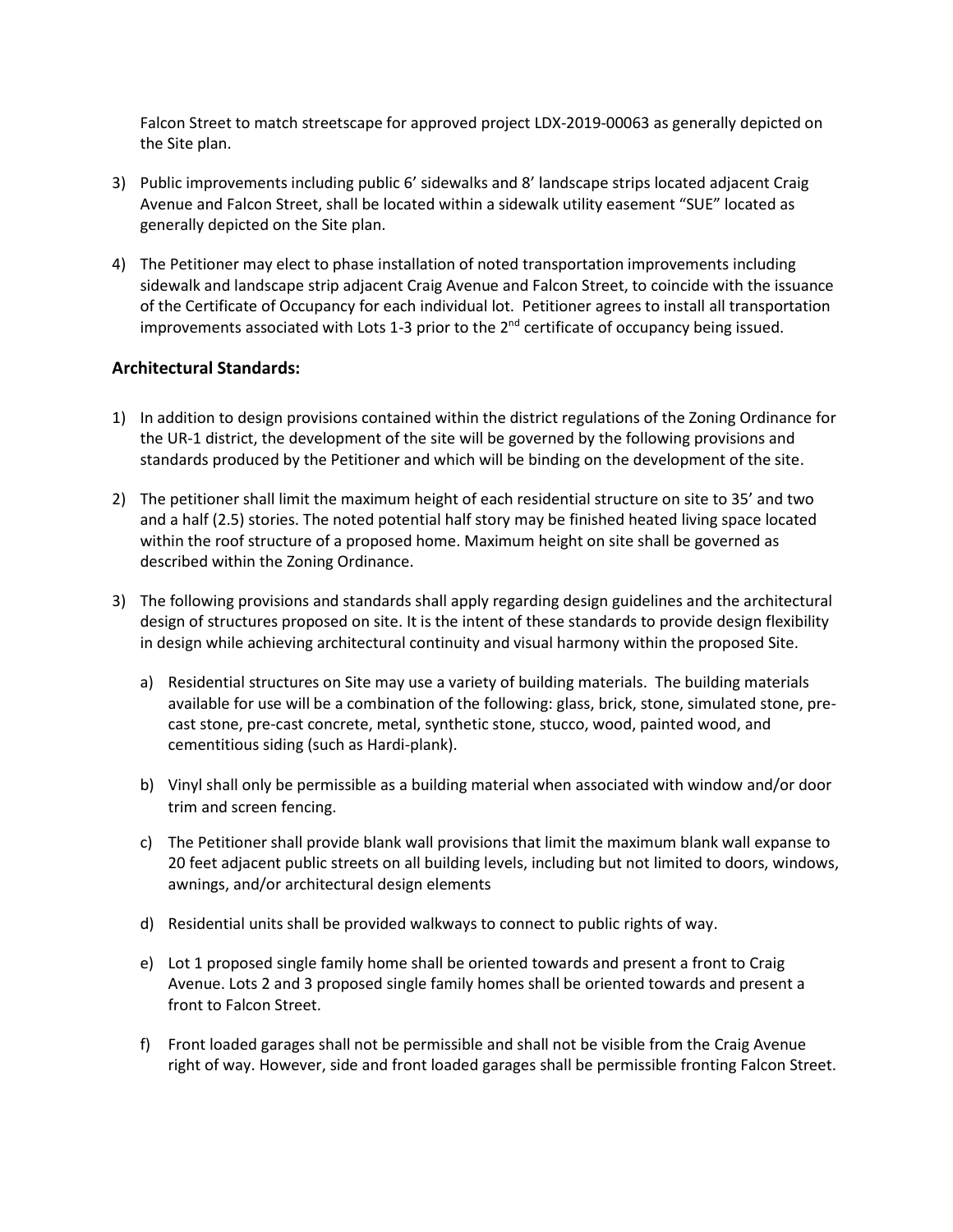Falcon Street to match streetscape for approved project LDX-2019-00063 as generally depicted on the Site plan.

- 3) Public improvements including public 6' sidewalks and 8' landscape strips located adjacent Craig Avenue and Falcon Street, shall be located within a sidewalk utility easement "SUE" located as generally depicted on the Site plan.
- 4) The Petitioner may elect to phase installation of noted transportation improvements including sidewalk and landscape strip adjacent Craig Avenue and Falcon Street, to coincide with the issuance of the Certificate of Occupancy for each individual lot. Petitioner agrees to install all transportation improvements associated with Lots 1-3 prior to the  $2^{nd}$  certificate of occupancy being issued.

### **Architectural Standards:**

- 1) In addition to design provisions contained within the district regulations of the Zoning Ordinance for the UR-1 district, the development of the site will be governed by the following provisions and standards produced by the Petitioner and which will be binding on the development of the site.
- 2) The petitioner shall limit the maximum height of each residential structure on site to 35' and two and a half (2.5) stories. The noted potential half story may be finished heated living space located within the roof structure of a proposed home. Maximum height on site shall be governed as described within the Zoning Ordinance.
- 3) The following provisions and standards shall apply regarding design guidelines and the architectural design of structures proposed on site. It is the intent of these standards to provide design flexibility in design while achieving architectural continuity and visual harmony within the proposed Site.
	- a) Residential structures on Site may use a variety of building materials. The building materials available for use will be a combination of the following: glass, brick, stone, simulated stone, precast stone, pre-cast concrete, metal, synthetic stone, stucco, wood, painted wood, and cementitious siding (such as Hardi-plank).
	- b) Vinyl shall only be permissible as a building material when associated with window and/or door trim and screen fencing.
	- c) The Petitioner shall provide blank wall provisions that limit the maximum blank wall expanse to 20 feet adjacent public streets on all building levels, including but not limited to doors, windows, awnings, and/or architectural design elements
	- d) Residential units shall be provided walkways to connect to public rights of way.
	- e) Lot 1 proposed single family home shall be oriented towards and present a front to Craig Avenue. Lots 2 and 3 proposed single family homes shall be oriented towards and present a front to Falcon Street.
	- f) Front loaded garages shall not be permissible and shall not be visible from the Craig Avenue right of way. However, side and front loaded garages shall be permissible fronting Falcon Street.